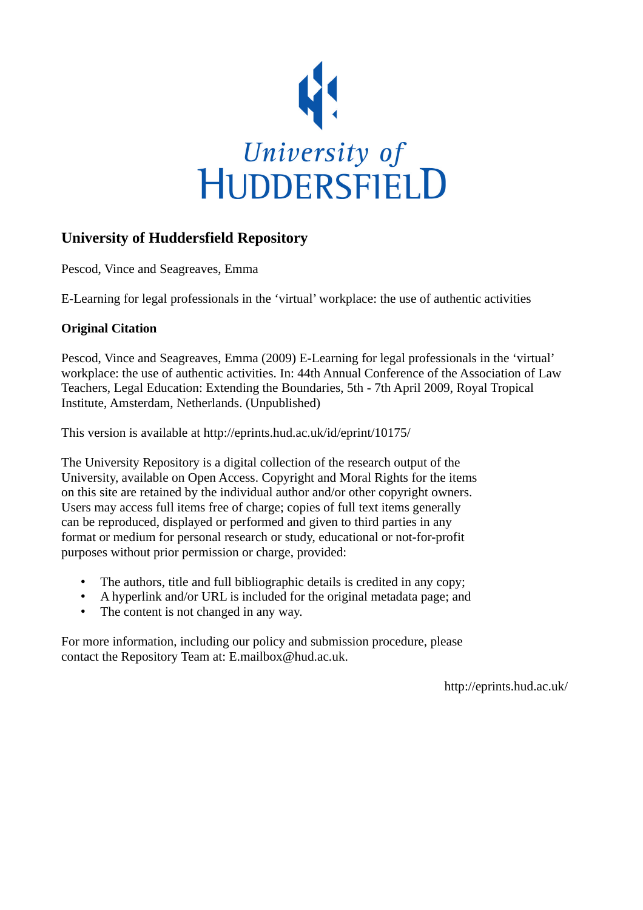

## **University of Huddersfield Repository**

Pescod, Vince and Seagreaves, Emma

E-Learning for legal professionals in the 'virtual' workplace: the use of authentic activities

## **Original Citation**

Pescod, Vince and Seagreaves, Emma (2009) E-Learning for legal professionals in the 'virtual' workplace: the use of authentic activities. In: 44th Annual Conference of the Association of Law Teachers, Legal Education: Extending the Boundaries, 5th - 7th April 2009, Royal Tropical Institute, Amsterdam, Netherlands. (Unpublished)

This version is available at http://eprints.hud.ac.uk/id/eprint/10175/

The University Repository is a digital collection of the research output of the University, available on Open Access. Copyright and Moral Rights for the items on this site are retained by the individual author and/or other copyright owners. Users may access full items free of charge; copies of full text items generally can be reproduced, displayed or performed and given to third parties in any format or medium for personal research or study, educational or not-for-profit purposes without prior permission or charge, provided:

- The authors, title and full bibliographic details is credited in any copy;
- A hyperlink and/or URL is included for the original metadata page; and
- The content is not changed in any way.

For more information, including our policy and submission procedure, please contact the Repository Team at: E.mailbox@hud.ac.uk.

http://eprints.hud.ac.uk/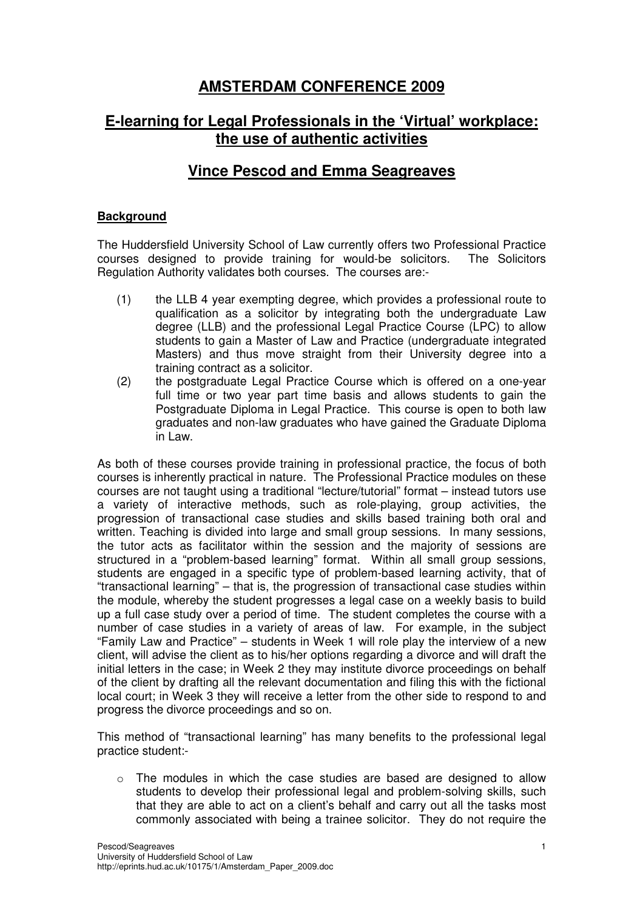# **AMSTERDAM CONFERENCE 2009**

# **E-learning for Legal Professionals in the 'Virtual' workplace: the use of authentic activities**

## **Vince Pescod and Emma Seagreaves**

### **Background**

The Huddersfield University School of Law currently offers two Professional Practice courses designed to provide training for would-be solicitors. The Solicitors Regulation Authority validates both courses. The courses are:-

- (1) the LLB 4 year exempting degree, which provides a professional route to qualification as a solicitor by integrating both the undergraduate Law degree (LLB) and the professional Legal Practice Course (LPC) to allow students to gain a Master of Law and Practice (undergraduate integrated Masters) and thus move straight from their University degree into a training contract as a solicitor.
- (2) the postgraduate Legal Practice Course which is offered on a one-year full time or two year part time basis and allows students to gain the Postgraduate Diploma in Legal Practice. This course is open to both law graduates and non-law graduates who have gained the Graduate Diploma in Law.

As both of these courses provide training in professional practice, the focus of both courses is inherently practical in nature. The Professional Practice modules on these courses are not taught using a traditional "lecture/tutorial" format – instead tutors use a variety of interactive methods, such as role-playing, group activities, the progression of transactional case studies and skills based training both oral and written. Teaching is divided into large and small group sessions. In many sessions, the tutor acts as facilitator within the session and the majority of sessions are structured in a "problem-based learning" format. Within all small group sessions, students are engaged in a specific type of problem-based learning activity, that of "transactional learning" – that is, the progression of transactional case studies within the module, whereby the student progresses a legal case on a weekly basis to build up a full case study over a period of time. The student completes the course with a number of case studies in a variety of areas of law. For example, in the subject "Family Law and Practice" – students in Week 1 will role play the interview of a new client, will advise the client as to his/her options regarding a divorce and will draft the initial letters in the case; in Week 2 they may institute divorce proceedings on behalf of the client by drafting all the relevant documentation and filing this with the fictional local court; in Week 3 they will receive a letter from the other side to respond to and progress the divorce proceedings and so on.

This method of "transactional learning" has many benefits to the professional legal practice student:-

 $\circ$  The modules in which the case studies are based are designed to allow students to develop their professional legal and problem-solving skills, such that they are able to act on a client's behalf and carry out all the tasks most commonly associated with being a trainee solicitor. They do not require the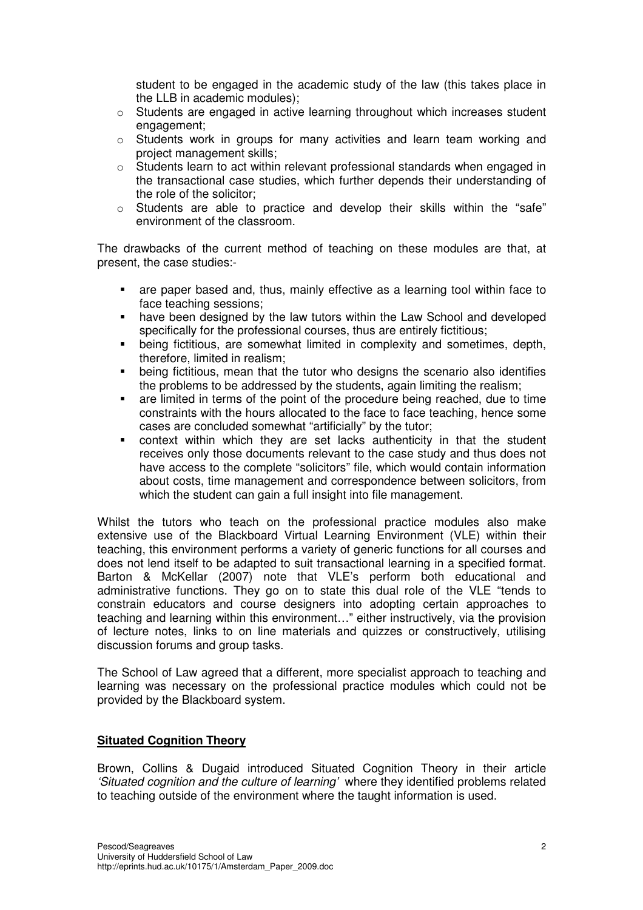student to be engaged in the academic study of the law (this takes place in the LLB in academic modules);

- o Students are engaged in active learning throughout which increases student engagement;
- $\circ$  Students work in groups for many activities and learn team working and project management skills;
- $\circ$  Students learn to act within relevant professional standards when engaged in the transactional case studies, which further depends their understanding of the role of the solicitor;
- o Students are able to practice and develop their skills within the "safe" environment of the classroom.

The drawbacks of the current method of teaching on these modules are that, at present, the case studies:-

- are paper based and, thus, mainly effective as a learning tool within face to face teaching sessions;
- have been designed by the law tutors within the Law School and developed specifically for the professional courses, thus are entirely fictitious;
- being fictitious, are somewhat limited in complexity and sometimes, depth, therefore, limited in realism;
- being fictitious, mean that the tutor who designs the scenario also identifies the problems to be addressed by the students, again limiting the realism;
- are limited in terms of the point of the procedure being reached, due to time constraints with the hours allocated to the face to face teaching, hence some cases are concluded somewhat "artificially" by the tutor;
- context within which they are set lacks authenticity in that the student receives only those documents relevant to the case study and thus does not have access to the complete "solicitors" file, which would contain information about costs, time management and correspondence between solicitors, from which the student can gain a full insight into file management.

Whilst the tutors who teach on the professional practice modules also make extensive use of the Blackboard Virtual Learning Environment (VLE) within their teaching, this environment performs a variety of generic functions for all courses and does not lend itself to be adapted to suit transactional learning in a specified format. Barton & McKellar (2007) note that VLE's perform both educational and administrative functions. They go on to state this dual role of the VLE "tends to constrain educators and course designers into adopting certain approaches to teaching and learning within this environment…" either instructively, via the provision of lecture notes, links to on line materials and quizzes or constructively, utilising discussion forums and group tasks.

The School of Law agreed that a different, more specialist approach to teaching and learning was necessary on the professional practice modules which could not be provided by the Blackboard system.

#### **Situated Cognition Theory**

Brown, Collins & Dugaid introduced Situated Cognition Theory in their article 'Situated cognition and the culture of learning' where they identified problems related to teaching outside of the environment where the taught information is used.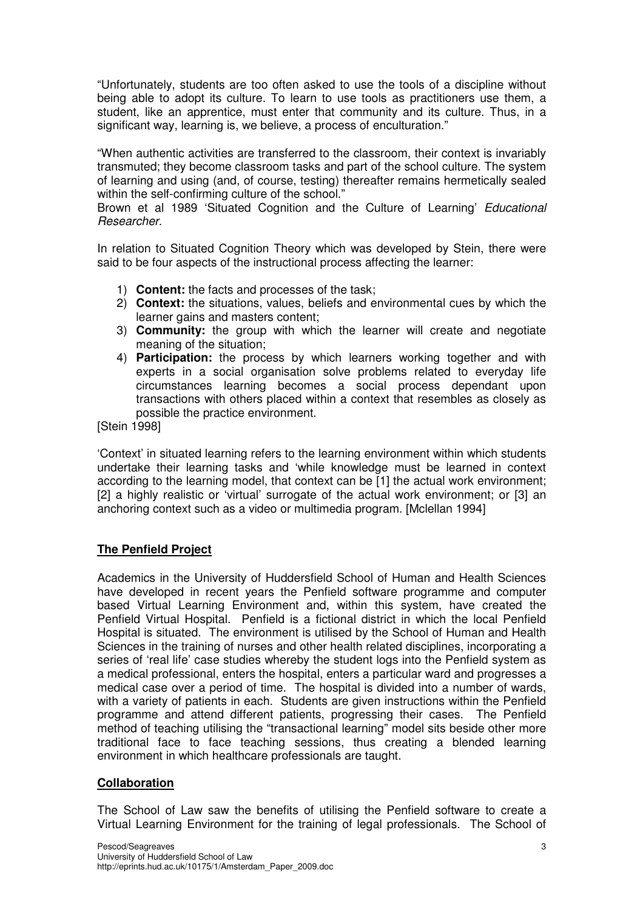"Unfortunately, students are too often asked to use the tools of a discipline without being able to adopt its culture. To learn to use tools as practitioners use them, a student, like an apprentice, must enter that community and its culture. Thus, in a significant way, learning is, we believe, a process of enculturation."

"When authentic activities are transferred to the classroom, their context is invariably transmuted; they become classroom tasks and part of the school culture. The system of learning and using (and, of course, testing) thereafter remains hermetically sealed within the self-confirming culture of the school."

Brown et al 1989 'Situated Cognition and the Culture of Learning' Educational Researcher.

In relation to Situated Cognition Theory which was developed by Stein, there were said to be four aspects of the instructional process affecting the learner:

- 1) **Content:** the facts and processes of the task;
- 2) **Context:** the situations, values, beliefs and environmental cues by which the learner gains and masters content;
- 3) **Community:** the group with which the learner will create and negotiate meaning of the situation;
- 4) **Participation:** the process by which learners working together and with experts in a social organisation solve problems related to everyday life circumstances learning becomes a social process dependant upon transactions with others placed within a context that resembles as closely as possible the practice environment.

[Stein 1998]

'Context' in situated learning refers to the learning environment within which students undertake their learning tasks and 'while knowledge must be learned in context according to the learning model, that context can be [1] the actual work environment; [2] a highly realistic or 'virtual' surrogate of the actual work environment; or [3] an anchoring context such as a video or multimedia program. [Mclellan 1994]

#### **The Penfield Project**

Academics in the University of Huddersfield School of Human and Health Sciences have developed in recent years the Penfield software programme and computer based Virtual Learning Environment and, within this system, have created the Penfield Virtual Hospital. Penfield is a fictional district in which the local Penfield Hospital is situated. The environment is utilised by the School of Human and Health Sciences in the training of nurses and other health related disciplines, incorporating a series of 'real life' case studies whereby the student logs into the Penfield system as a medical professional, enters the hospital, enters a particular ward and progresses a medical case over a period of time. The hospital is divided into a number of wards, with a variety of patients in each. Students are given instructions within the Penfield programme and attend different patients, progressing their cases. The Penfield method of teaching utilising the "transactional learning" model sits beside other more traditional face to face teaching sessions, thus creating a blended learning environment in which healthcare professionals are taught.

#### **Collaboration**

The School of Law saw the benefits of utilising the Penfield software to create a Virtual Learning Environment for the training of legal professionals. The School of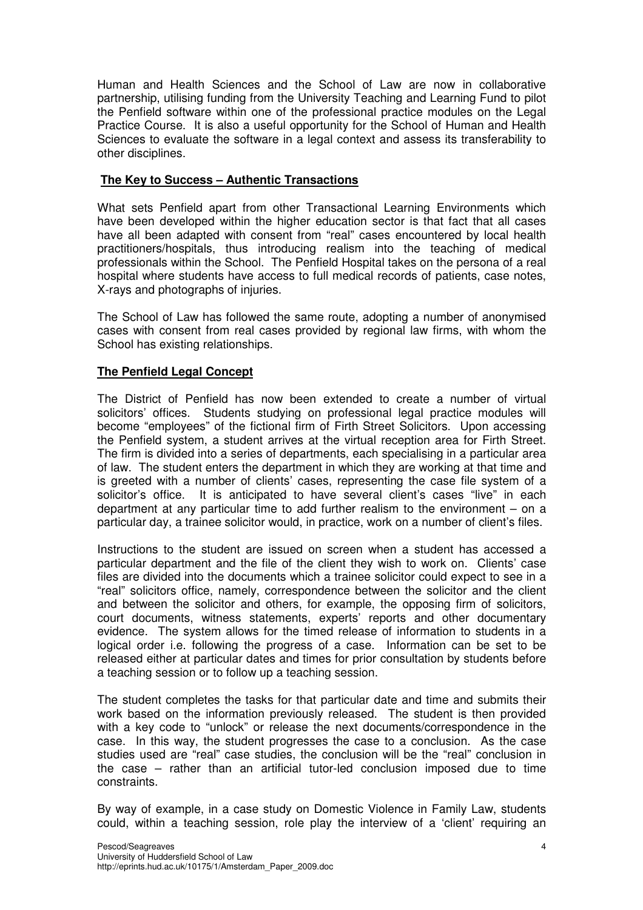Human and Health Sciences and the School of Law are now in collaborative partnership, utilising funding from the University Teaching and Learning Fund to pilot the Penfield software within one of the professional practice modules on the Legal Practice Course. It is also a useful opportunity for the School of Human and Health Sciences to evaluate the software in a legal context and assess its transferability to other disciplines.

### **The Key to Success – Authentic Transactions**

What sets Penfield apart from other Transactional Learning Environments which have been developed within the higher education sector is that fact that all cases have all been adapted with consent from "real" cases encountered by local health practitioners/hospitals, thus introducing realism into the teaching of medical professionals within the School. The Penfield Hospital takes on the persona of a real hospital where students have access to full medical records of patients, case notes, X-rays and photographs of injuries.

The School of Law has followed the same route, adopting a number of anonymised cases with consent from real cases provided by regional law firms, with whom the School has existing relationships.

### **The Penfield Legal Concept**

The District of Penfield has now been extended to create a number of virtual solicitors' offices. Students studying on professional legal practice modules will become "employees" of the fictional firm of Firth Street Solicitors. Upon accessing the Penfield system, a student arrives at the virtual reception area for Firth Street. The firm is divided into a series of departments, each specialising in a particular area of law. The student enters the department in which they are working at that time and is greeted with a number of clients' cases, representing the case file system of a solicitor's office. It is anticipated to have several client's cases "live" in each department at any particular time to add further realism to the environment  $-$  on a particular day, a trainee solicitor would, in practice, work on a number of client's files.

Instructions to the student are issued on screen when a student has accessed a particular department and the file of the client they wish to work on. Clients' case files are divided into the documents which a trainee solicitor could expect to see in a "real" solicitors office, namely, correspondence between the solicitor and the client and between the solicitor and others, for example, the opposing firm of solicitors, court documents, witness statements, experts' reports and other documentary evidence. The system allows for the timed release of information to students in a logical order i.e. following the progress of a case. Information can be set to be released either at particular dates and times for prior consultation by students before a teaching session or to follow up a teaching session.

The student completes the tasks for that particular date and time and submits their work based on the information previously released. The student is then provided with a key code to "unlock" or release the next documents/correspondence in the case. In this way, the student progresses the case to a conclusion. As the case studies used are "real" case studies, the conclusion will be the "real" conclusion in the case – rather than an artificial tutor-led conclusion imposed due to time constraints.

By way of example, in a case study on Domestic Violence in Family Law, students could, within a teaching session, role play the interview of a 'client' requiring an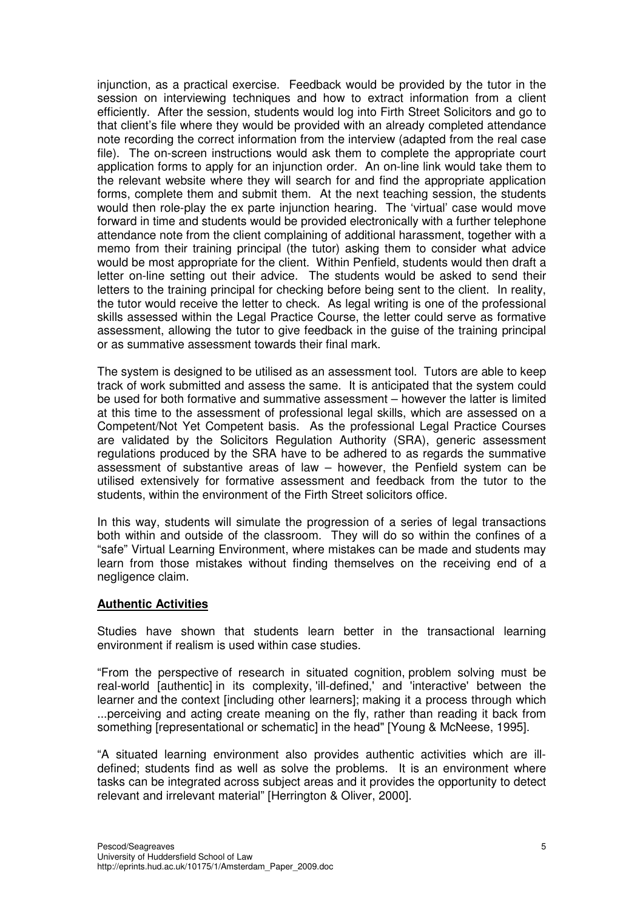injunction, as a practical exercise. Feedback would be provided by the tutor in the session on interviewing techniques and how to extract information from a client efficiently. After the session, students would log into Firth Street Solicitors and go to that client's file where they would be provided with an already completed attendance note recording the correct information from the interview (adapted from the real case file). The on-screen instructions would ask them to complete the appropriate court application forms to apply for an injunction order. An on-line link would take them to the relevant website where they will search for and find the appropriate application forms, complete them and submit them. At the next teaching session, the students would then role-play the ex parte injunction hearing. The 'virtual' case would move forward in time and students would be provided electronically with a further telephone attendance note from the client complaining of additional harassment, together with a memo from their training principal (the tutor) asking them to consider what advice would be most appropriate for the client. Within Penfield, students would then draft a letter on-line setting out their advice. The students would be asked to send their letters to the training principal for checking before being sent to the client. In reality, the tutor would receive the letter to check. As legal writing is one of the professional skills assessed within the Legal Practice Course, the letter could serve as formative assessment, allowing the tutor to give feedback in the guise of the training principal or as summative assessment towards their final mark.

The system is designed to be utilised as an assessment tool. Tutors are able to keep track of work submitted and assess the same. It is anticipated that the system could be used for both formative and summative assessment – however the latter is limited at this time to the assessment of professional legal skills, which are assessed on a Competent/Not Yet Competent basis. As the professional Legal Practice Courses are validated by the Solicitors Regulation Authority (SRA), generic assessment regulations produced by the SRA have to be adhered to as regards the summative assessment of substantive areas of law – however, the Penfield system can be utilised extensively for formative assessment and feedback from the tutor to the students, within the environment of the Firth Street solicitors office.

In this way, students will simulate the progression of a series of legal transactions both within and outside of the classroom. They will do so within the confines of a "safe" Virtual Learning Environment, where mistakes can be made and students may learn from those mistakes without finding themselves on the receiving end of a negligence claim.

#### **Authentic Activities**

Studies have shown that students learn better in the transactional learning environment if realism is used within case studies.

"From the perspective of research in situated cognition, problem solving must be real-world [authentic] in its complexity, 'ill-defined,' and 'interactive' between the learner and the context [including other learners]; making it a process through which ...perceiving and acting create meaning on the fly, rather than reading it back from something [representational or schematic] in the head" [Young & McNeese, 1995].

"A situated learning environment also provides authentic activities which are illdefined; students find as well as solve the problems. It is an environment where tasks can be integrated across subject areas and it provides the opportunity to detect relevant and irrelevant material" [Herrington & Oliver, 2000].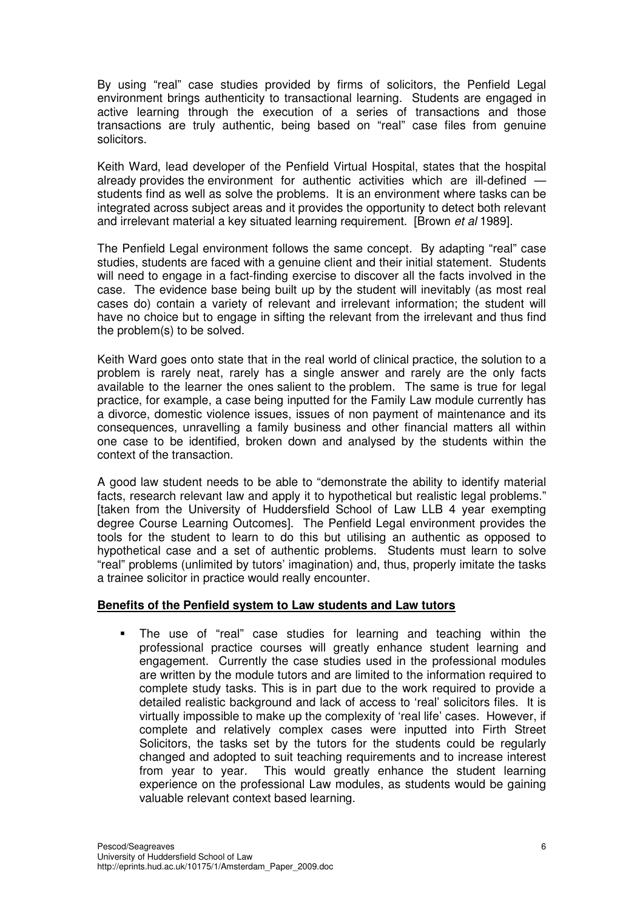By using "real" case studies provided by firms of solicitors, the Penfield Legal environment brings authenticity to transactional learning. Students are engaged in active learning through the execution of a series of transactions and those transactions are truly authentic, being based on "real" case files from genuine solicitors.

Keith Ward, lead developer of the Penfield Virtual Hospital, states that the hospital already provides the environment for authentic activities which are ill-defined students find as well as solve the problems. It is an environment where tasks can be integrated across subject areas and it provides the opportunity to detect both relevant and irrelevant material a key situated learning requirement. [Brown et al 1989].

The Penfield Legal environment follows the same concept. By adapting "real" case studies, students are faced with a genuine client and their initial statement. Students will need to engage in a fact-finding exercise to discover all the facts involved in the case. The evidence base being built up by the student will inevitably (as most real cases do) contain a variety of relevant and irrelevant information; the student will have no choice but to engage in sifting the relevant from the irrelevant and thus find the problem(s) to be solved.

Keith Ward goes onto state that in the real world of clinical practice, the solution to a problem is rarely neat, rarely has a single answer and rarely are the only facts available to the learner the ones salient to the problem. The same is true for legal practice, for example, a case being inputted for the Family Law module currently has a divorce, domestic violence issues, issues of non payment of maintenance and its consequences, unravelling a family business and other financial matters all within one case to be identified, broken down and analysed by the students within the context of the transaction.

A good law student needs to be able to "demonstrate the ability to identify material facts, research relevant law and apply it to hypothetical but realistic legal problems." [taken from the University of Huddersfield School of Law LLB 4 year exempting degree Course Learning Outcomes]. The Penfield Legal environment provides the tools for the student to learn to do this but utilising an authentic as opposed to hypothetical case and a set of authentic problems. Students must learn to solve "real" problems (unlimited by tutors' imagination) and, thus, properly imitate the tasks a trainee solicitor in practice would really encounter.

#### **Benefits of the Penfield system to Law students and Law tutors**

 The use of "real" case studies for learning and teaching within the professional practice courses will greatly enhance student learning and engagement. Currently the case studies used in the professional modules are written by the module tutors and are limited to the information required to complete study tasks. This is in part due to the work required to provide a detailed realistic background and lack of access to 'real' solicitors files. It is virtually impossible to make up the complexity of 'real life' cases. However, if complete and relatively complex cases were inputted into Firth Street Solicitors, the tasks set by the tutors for the students could be regularly changed and adopted to suit teaching requirements and to increase interest from year to year. This would greatly enhance the student learning experience on the professional Law modules, as students would be gaining valuable relevant context based learning.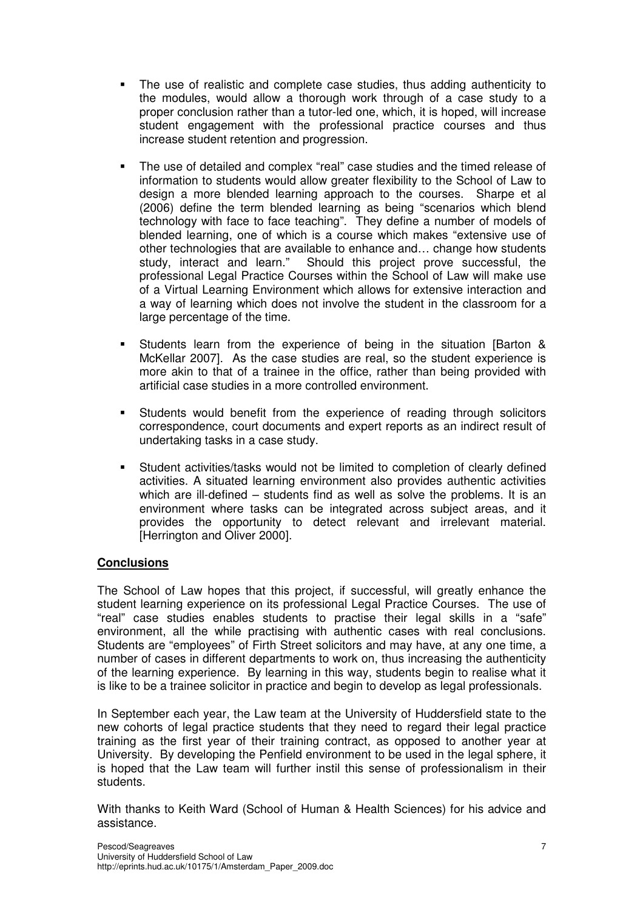- The use of realistic and complete case studies, thus adding authenticity to the modules, would allow a thorough work through of a case study to a proper conclusion rather than a tutor-led one, which, it is hoped, will increase student engagement with the professional practice courses and thus increase student retention and progression.
- The use of detailed and complex "real" case studies and the timed release of information to students would allow greater flexibility to the School of Law to design a more blended learning approach to the courses. Sharpe et al (2006) define the term blended learning as being "scenarios which blend technology with face to face teaching". They define a number of models of blended learning, one of which is a course which makes "extensive use of other technologies that are available to enhance and… change how students study, interact and learn." Should this project prove successful, the professional Legal Practice Courses within the School of Law will make use of a Virtual Learning Environment which allows for extensive interaction and a way of learning which does not involve the student in the classroom for a large percentage of the time.
- Students learn from the experience of being in the situation [Barton & McKellar 2007]. As the case studies are real, so the student experience is more akin to that of a trainee in the office, rather than being provided with artificial case studies in a more controlled environment.
- Students would benefit from the experience of reading through solicitors correspondence, court documents and expert reports as an indirect result of undertaking tasks in a case study.
- Student activities/tasks would not be limited to completion of clearly defined activities. A situated learning environment also provides authentic activities which are ill-defined – students find as well as solve the problems. It is an environment where tasks can be integrated across subject areas, and it provides the opportunity to detect relevant and irrelevant material. [Herrington and Oliver 2000].

### **Conclusions**

The School of Law hopes that this project, if successful, will greatly enhance the student learning experience on its professional Legal Practice Courses. The use of "real" case studies enables students to practise their legal skills in a "safe" environment, all the while practising with authentic cases with real conclusions. Students are "employees" of Firth Street solicitors and may have, at any one time, a number of cases in different departments to work on, thus increasing the authenticity of the learning experience. By learning in this way, students begin to realise what it is like to be a trainee solicitor in practice and begin to develop as legal professionals.

In September each year, the Law team at the University of Huddersfield state to the new cohorts of legal practice students that they need to regard their legal practice training as the first year of their training contract, as opposed to another year at University. By developing the Penfield environment to be used in the legal sphere, it is hoped that the Law team will further instil this sense of professionalism in their students.

With thanks to Keith Ward (School of Human & Health Sciences) for his advice and assistance.